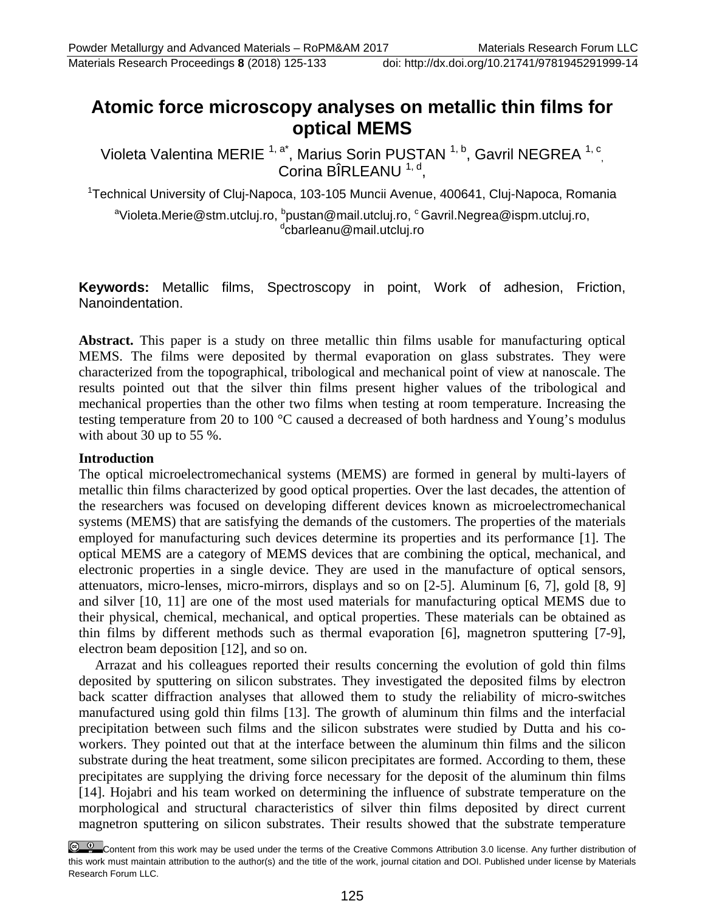**Atomic force microscopy analyses on metallic thin films for optical MEMS** 

Violeta Valentina MERIE <sup>1, a\*</sup>, Marius Sorin PUSTAN <sup>1, b</sup>, Gavril NEGREA <sup>1, c</sup>, Corina BÎRLEANU<sup>1, d</sup>,

<sup>1</sup>Technical University of Cluj-Napoca, 103-105 Muncii Avenue, 400641, Cluj-Napoca, Romania

<sup>a</sup>Violeta.Merie@stm.utcluj.ro, <sup>b</sup>pustan@mail.utcluj.ro, <sup>c</sup> Gavril.Negrea@ispm.utcluj.ro, <sup>d</sup>cbarleanu@mail.utcluj.ro

**Keywords:** Metallic films, Spectroscopy in point, Work of adhesion, Friction, Nanoindentation.

**Abstract.** This paper is a study on three metallic thin films usable for manufacturing optical MEMS. The films were deposited by thermal evaporation on glass substrates. They were characterized from the topographical, tribological and mechanical point of view at nanoscale. The results pointed out that the silver thin films present higher values of the tribological and mechanical properties than the other two films when testing at room temperature. Increasing the testing temperature from 20 to 100 °C caused a decreased of both hardness and Young's modulus with about 30 up to 55 %.

#### **Introduction**

The optical microelectromechanical systems (MEMS) are formed in general by multi-layers of metallic thin films characterized by good optical properties. Over the last decades, the attention of the researchers was focused on developing different devices known as microelectromechanical systems (MEMS) that are satisfying the demands of the customers. The properties of the materials employed for manufacturing such devices determine its properties and its performance [1]. The optical MEMS are a category of MEMS devices that are combining the optical, mechanical, and electronic properties in a single device. They are used in the manufacture of optical sensors, attenuators, micro-lenses, micro-mirrors, displays and so on [2-5]. Aluminum [6, 7], gold [8, 9] and silver [10, 11] are one of the most used materials for manufacturing optical MEMS due to their physical, chemical, mechanical, and optical properties. These materials can be obtained as thin films by different methods such as thermal evaporation [6], magnetron sputtering [7-9], electron beam deposition [12], and so on.

Arrazat and his colleagues reported their results concerning the evolution of gold thin films deposited by sputtering on silicon substrates. They investigated the deposited films by electron back scatter diffraction analyses that allowed them to study the reliability of micro-switches manufactured using gold thin films [13]. The growth of aluminum thin films and the interfacial precipitation between such films and the silicon substrates were studied by Dutta and his coworkers. They pointed out that at the interface between the aluminum thin films and the silicon substrate during the heat treatment, some silicon precipitates are formed. According to them, these precipitates are supplying the driving force necessary for the deposit of the aluminum thin films [14]. Hojabri and his team worked on determining the influence of substrate temperature on the morphological and structural characteristics of silver thin films deposited by direct current magnetron sputtering on silicon substrates. Their results showed that the substrate temperature

Content from this work may be used under the terms of the Creative Commons Attribution 3.0 license. Any further distribution of this work must maintain attribution to the author(s) and the title of the work, journal citation and DOI. Published under license by Materials Research Forum LLC.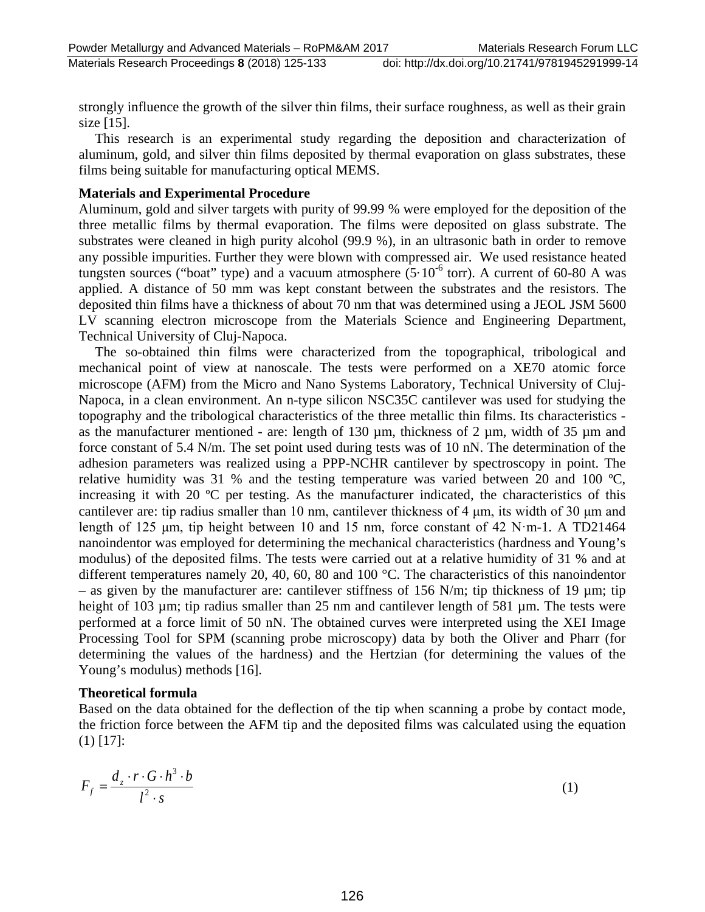strongly influence the growth of the silver thin films, their surface roughness, as well as their grain size [15].

This research is an experimental study regarding the deposition and characterization of aluminum, gold, and silver thin films deposited by thermal evaporation on glass substrates, these films being suitable for manufacturing optical MEMS.

### **Materials and Experimental Procedure**

Aluminum, gold and silver targets with purity of 99.99 % were employed for the deposition of the three metallic films by thermal evaporation. The films were deposited on glass substrate. The substrates were cleaned in high purity alcohol (99.9 %), in an ultrasonic bath in order to remove any possible impurities. Further they were blown with compressed air. We used resistance heated tungsten sources ("boat" type) and a vacuum atmosphere  $(5.10^{-6}$  torr). A current of 60-80 A was applied. A distance of 50 mm was kept constant between the substrates and the resistors. The deposited thin films have a thickness of about 70 nm that was determined using a JEOL JSM 5600 LV scanning electron microscope from the Materials Science and Engineering Department, Technical University of Cluj-Napoca.

The so-obtained thin films were characterized from the topographical, tribological and mechanical point of view at nanoscale. The tests were performed on a XE70 atomic force microscope (AFM) from the Micro and Nano Systems Laboratory, Technical University of Cluj-Napoca, in a clean environment. An n-type silicon NSC35C cantilever was used for studying the topography and the tribological characteristics of the three metallic thin films. Its characteristics as the manufacturer mentioned - are: length of 130  $\mu$ m, thickness of 2  $\mu$ m, width of 35  $\mu$ m and force constant of 5.4 N/m. The set point used during tests was of 10 nN. The determination of the adhesion parameters was realized using a PPP-NCHR cantilever by spectroscopy in point. The relative humidity was 31 % and the testing temperature was varied between 20 and 100 ºC, increasing it with 20 ºC per testing. As the manufacturer indicated, the characteristics of this cantilever are: tip radius smaller than 10 nm, cantilever thickness of 4 μm, its width of 30 μm and length of 125 μm, tip height between 10 and 15 nm, force constant of 42 N·m-1. A TD21464 nanoindentor was employed for determining the mechanical characteristics (hardness and Young's modulus) of the deposited films. The tests were carried out at a relative humidity of 31 % and at different temperatures namely 20, 40, 60, 80 and 100 °C. The characteristics of this nanoindentor – as given by the manufacturer are: cantilever stiffness of 156 N/m; tip thickness of 19  $\mu$ m; tip height of 103 µm; tip radius smaller than 25 nm and cantilever length of 581 µm. The tests were performed at a force limit of 50 nN. The obtained curves were interpreted using the XEI Image Processing Tool for SPM (scanning probe microscopy) data by both the Oliver and Pharr (for determining the values of the hardness) and the Hertzian (for determining the values of the Young's modulus) methods [16].

#### **Theoretical formula**

Based on the data obtained for the deflection of the tip when scanning a probe by contact mode, the friction force between the AFM tip and the deposited films was calculated using the equation (1) [17]:

$$
F_f = \frac{d_z \cdot r \cdot G \cdot h^3 \cdot b}{l^2 \cdot s} \tag{1}
$$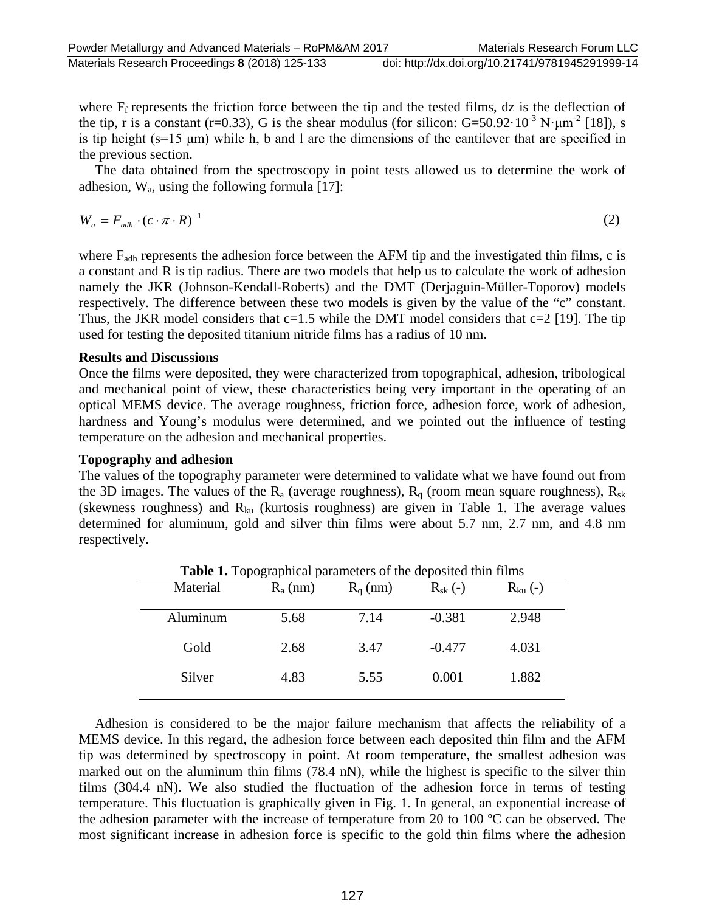where  $F_f$  represents the friction force between the tip and the tested films, dz is the deflection of the tip, r is a constant (r=0.33), G is the shear modulus (for silicon: G=50.92 $\cdot$ 10<sup>-3</sup> N·μm<sup>-2</sup> [18]), s is tip height (s=15 μm) while h, b and l are the dimensions of the cantilever that are specified in the previous section.

The data obtained from the spectroscopy in point tests allowed us to determine the work of adhesion,  $W_a$ , using the following formula [17]:

$$
W_a = F_{adh} \cdot (c \cdot \pi \cdot R)^{-1} \tag{2}
$$

where  $F_{\text{adh}}$  represents the adhesion force between the AFM tip and the investigated thin films, c is a constant and R is tip radius. There are two models that help us to calculate the work of adhesion namely the JKR (Johnson-Kendall-Roberts) and the DMT (Derjaguin-Müller-Toporov) models respectively. The difference between these two models is given by the value of the "c" constant. Thus, the JKR model considers that  $c=1.5$  while the DMT model considers that  $c=2$  [19]. The tip used for testing the deposited titanium nitride films has a radius of 10 nm.

#### **Results and Discussions**

Once the films were deposited, they were characterized from topographical, adhesion, tribological and mechanical point of view, these characteristics being very important in the operating of an optical MEMS device. The average roughness, friction force, adhesion force, work of adhesion, hardness and Young's modulus were determined, and we pointed out the influence of testing temperature on the adhesion and mechanical properties.

#### **Topography and adhesion**

The values of the topography parameter were determined to validate what we have found out from the 3D images. The values of the  $R_a$  (average roughness),  $R_q$  (room mean square roughness),  $R_{sk}$ (skewness roughness) and  $R_{ku}$  (kurtosis roughness) are given in Table 1. The average values determined for aluminum, gold and silver thin films were about 5.7 nm, 2.7 nm, and 4.8 nm respectively.

| Material | $R_a$ (nm) | $R_{q}$ (nm) | $R_{sk}$ (-) | $R_{ku}(-)$ |
|----------|------------|--------------|--------------|-------------|
| Aluminum | 5.68       | 7.14         | $-0.381$     | 2.948       |
| Gold     | 2.68       | 3.47         | $-0.477$     | 4.031       |
| Silver   | 4.83       | 5.55         | 0.001        | 1.882       |

Adhesion is considered to be the major failure mechanism that affects the reliability of a MEMS device. In this regard, the adhesion force between each deposited thin film and the AFM tip was determined by spectroscopy in point. At room temperature, the smallest adhesion was marked out on the aluminum thin films (78.4 nN), while the highest is specific to the silver thin films (304.4 nN). We also studied the fluctuation of the adhesion force in terms of testing temperature. This fluctuation is graphically given in Fig. 1. In general, an exponential increase of the adhesion parameter with the increase of temperature from 20 to 100 ºC can be observed. The most significant increase in adhesion force is specific to the gold thin films where the adhesion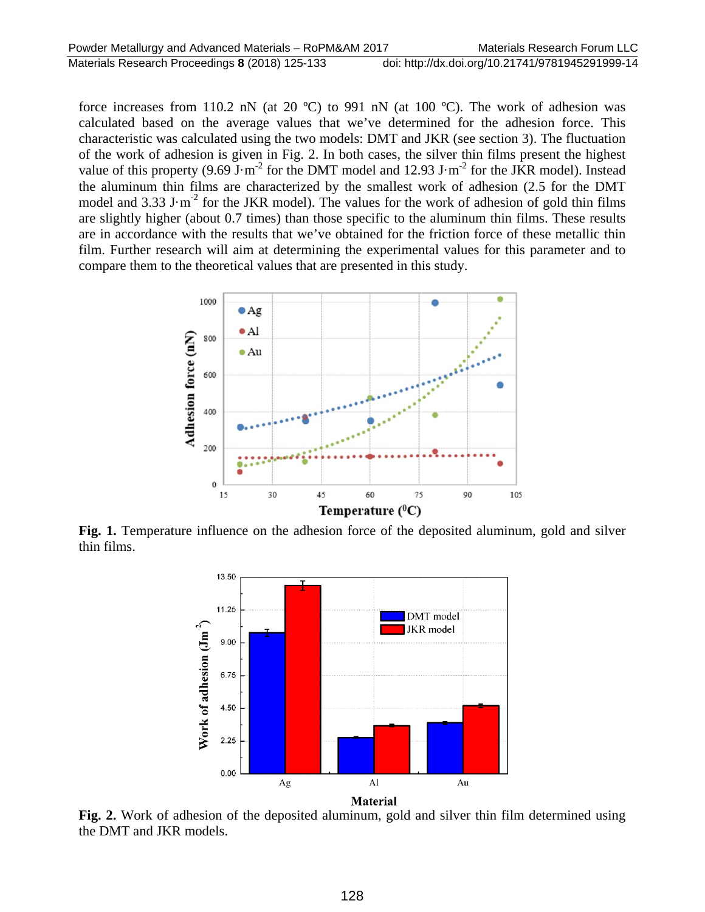force increases from 110.2 nN (at 20  $^{\circ}$ C) to 991 nN (at 100  $^{\circ}$ C). The work of adhesion was calculated based on the average values that we've determined for the adhesion force. This characteristic was calculated using the two models: DMT and JKR (see section 3). The fluctuation of the work of adhesion is given in Fig. 2. In both cases, the silver thin films present the highest value of this property (9.69 J·m<sup>-2</sup> for the DMT model and 12.93 J·m<sup>-2</sup> for the JKR model). Instead the aluminum thin films are characterized by the smallest work of adhesion (2.5 for the DMT model and 3.33 J·m<sup>-2</sup> for the JKR model). The values for the work of adhesion of gold thin films are slightly higher (about 0.7 times) than those specific to the aluminum thin films. These results are in accordance with the results that we've obtained for the friction force of these metallic thin film. Further research will aim at determining the experimental values for this parameter and to compare them to the theoretical values that are presented in this study.



**Fig. 1.** Temperature influence on the adhesion force of the deposited aluminum, gold and silver thin films.



**Fig. 2.** Work of adhesion of the deposited aluminum, gold and silver thin film determined using the DMT and JKR models.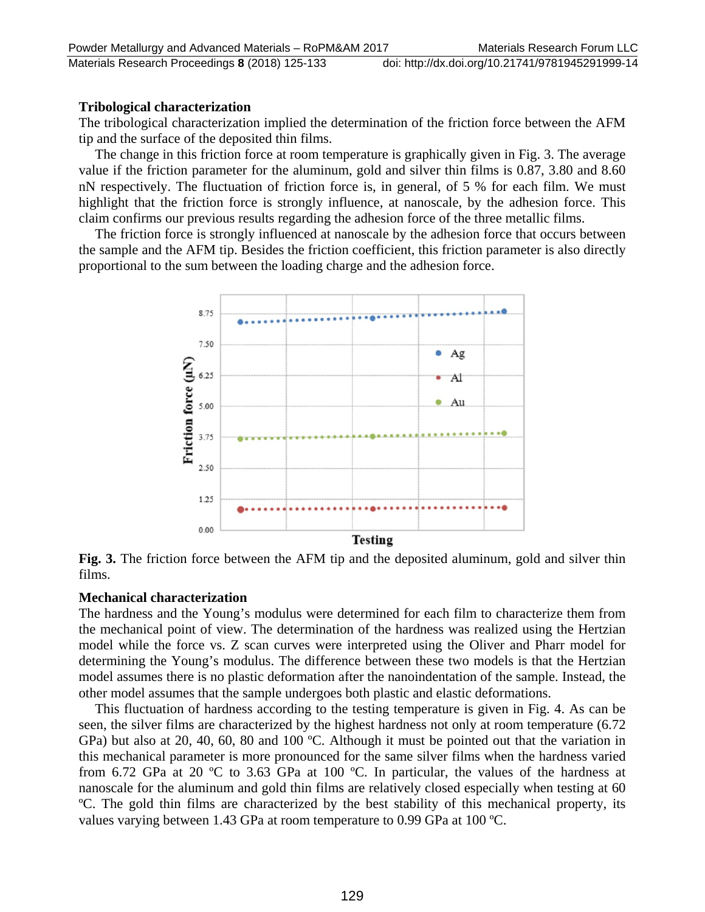### **Tribological characterization**

The tribological characterization implied the determination of the friction force between the AFM tip and the surface of the deposited thin films.

The change in this friction force at room temperature is graphically given in Fig. 3. The average value if the friction parameter for the aluminum, gold and silver thin films is 0.87, 3.80 and 8.60 nN respectively. The fluctuation of friction force is, in general, of 5 % for each film. We must highlight that the friction force is strongly influence, at nanoscale, by the adhesion force. This claim confirms our previous results regarding the adhesion force of the three metallic films.

The friction force is strongly influenced at nanoscale by the adhesion force that occurs between the sample and the AFM tip. Besides the friction coefficient, this friction parameter is also directly proportional to the sum between the loading charge and the adhesion force.



**Fig. 3.** The friction force between the AFM tip and the deposited aluminum, gold and silver thin films.

#### **Mechanical characterization**

The hardness and the Young's modulus were determined for each film to characterize them from the mechanical point of view. The determination of the hardness was realized using the Hertzian model while the force vs. Z scan curves were interpreted using the Oliver and Pharr model for determining the Young's modulus. The difference between these two models is that the Hertzian model assumes there is no plastic deformation after the nanoindentation of the sample. Instead, the other model assumes that the sample undergoes both plastic and elastic deformations.

This fluctuation of hardness according to the testing temperature is given in Fig. 4. As can be seen, the silver films are characterized by the highest hardness not only at room temperature (6.72 GPa) but also at 20, 40, 60, 80 and 100 ºC. Although it must be pointed out that the variation in this mechanical parameter is more pronounced for the same silver films when the hardness varied from 6.72 GPa at 20 ºC to 3.63 GPa at 100 ºC. In particular, the values of the hardness at nanoscale for the aluminum and gold thin films are relatively closed especially when testing at 60 ºC. The gold thin films are characterized by the best stability of this mechanical property, its values varying between 1.43 GPa at room temperature to 0.99 GPa at 100 ºC.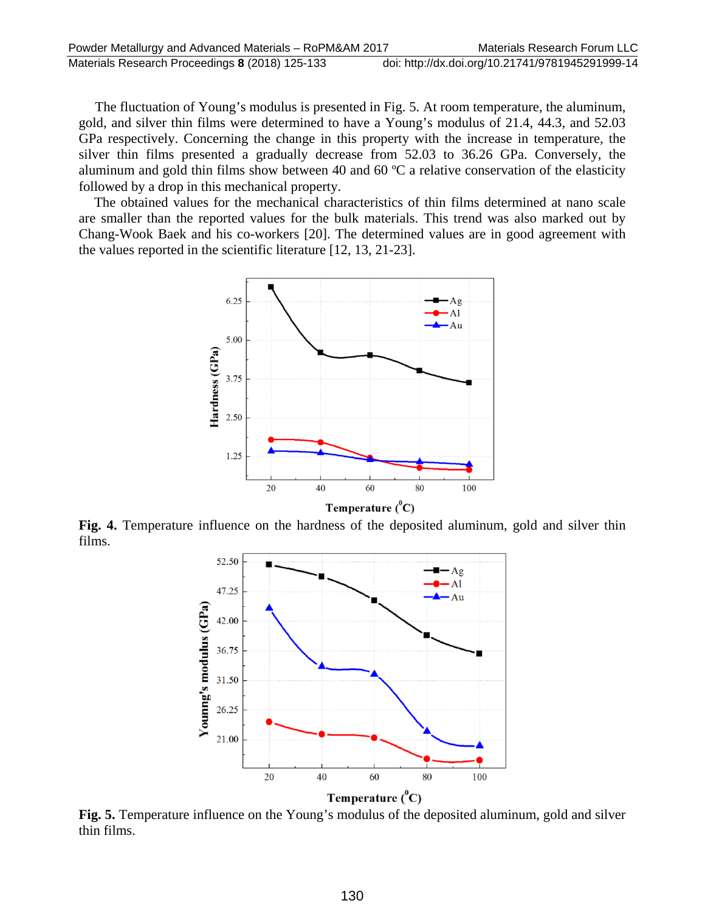The fluctuation of Young's modulus is presented in Fig. 5. At room temperature, the aluminum, gold, and silver thin films were determined to have a Young's modulus of 21.4, 44.3, and 52.03 GPa respectively. Concerning the change in this property with the increase in temperature, the silver thin films presented a gradually decrease from 52.03 to 36.26 GPa. Conversely, the aluminum and gold thin films show between 40 and 60 ºC a relative conservation of the elasticity followed by a drop in this mechanical property.

The obtained values for the mechanical characteristics of thin films determined at nano scale are smaller than the reported values for the bulk materials. This trend was also marked out by Chang-Wook Baek and his co-workers [20]. The determined values are in good agreement with the values reported in the scientific literature [12, 13, 21-23].



**Fig. 4.** Temperature influence on the hardness of the deposited aluminum, gold and silver thin films.



**Fig. 5.** Temperature influence on the Young's modulus of the deposited aluminum, gold and silver thin films.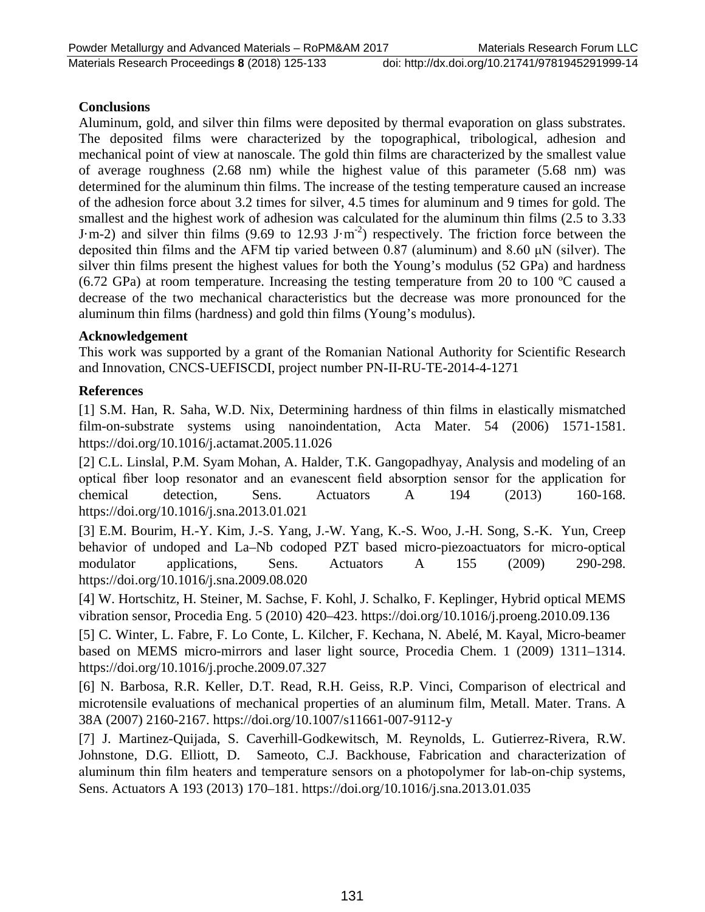# **Conclusions**

Aluminum, gold, and silver thin films were deposited by thermal evaporation on glass substrates. The deposited films were characterized by the topographical, tribological, adhesion and mechanical point of view at nanoscale. The gold thin films are characterized by the smallest value of average roughness (2.68 nm) while the highest value of this parameter (5.68 nm) was determined for the aluminum thin films. The increase of the testing temperature caused an increase of the adhesion force about 3.2 times for silver, 4.5 times for aluminum and 9 times for gold. The smallest and the highest work of adhesion was calculated for the aluminum thin films (2.5 to 3.33 J·m-2) and silver thin films (9.69 to 12.93 J·m<sup>-2</sup>) respectively. The friction force between the deposited thin films and the AFM tip varied between 0.87 (aluminum) and 8.60  $\mu$ N (silver). The silver thin films present the highest values for both the Young's modulus (52 GPa) and hardness (6.72 GPa) at room temperature. Increasing the testing temperature from 20 to 100 ºC caused a decrease of the two mechanical characteristics but the decrease was more pronounced for the aluminum thin films (hardness) and gold thin films (Young's modulus).

### **Acknowledgement**

This work was supported by a grant of the Romanian National Authority for Scientific Research and Innovation, CNCS-UEFISCDI, project number PN-II-RU-TE-2014-4-1271

# **References**

[1] S.M. Han, R. Saha, W.D. Nix, Determining hardness of thin films in elastically mismatched film-on-substrate systems using nanoindentation, Acta Mater. 54 (2006) 1571-1581. https://doi.org/10.1016/j.actamat.2005.11.026

[2] C.L. Linslal, P.M. Syam Mohan, A. Halder, T.K. Gangopadhyay, Analysis and modeling of an optical fiber loop resonator and an evanescent field absorption sensor for the application for chemical detection, Sens. Actuators A 194 (2013) 160-168. https://doi.org/10.1016/j.sna.2013.01.021

[3] E.M. Bourim, H.-Y. Kim, J.-S. Yang, J.-W. Yang, K.-S. Woo, J.-H. Song, S.-K. Yun, Creep behavior of undoped and La–Nb codoped PZT based micro-piezoactuators for micro-optical modulator applications, Sens. Actuators A 155 (2009) 290-298. https://doi.org/10.1016/j.sna.2009.08.020

[4] W. Hortschitz, H. Steiner, M. Sachse, F. Kohl, J. Schalko, F. Keplinger, Hybrid optical MEMS vibration sensor, Procedia Eng. 5 (2010) 420–423. https://doi.org/10.1016/j.proeng.2010.09.136

[5] C. Winter, L. Fabre, F. Lo Conte, L. Kilcher, F. Kechana, N. Abelé, M. Kayal, Micro-beamer based on MEMS micro-mirrors and laser light source, Procedia Chem. 1 (2009) 1311–1314. https://doi.org/10.1016/j.proche.2009.07.327

[6] N. Barbosa, R.R. Keller, D.T. Read, R.H. Geiss, R.P. Vinci, Comparison of electrical and microtensile evaluations of mechanical properties of an aluminum film, Metall. Mater. Trans. A 38A (2007) 2160-2167. https://doi.org/10.1007/s11661-007-9112-y

[7] J. Martinez-Quijada, S. Caverhill-Godkewitsch, M. Reynolds, L. Gutierrez-Rivera, R.W. Johnstone, D.G. Elliott, D. Sameoto, C.J. Backhouse, Fabrication and characterization of aluminum thin film heaters and temperature sensors on a photopolymer for lab-on-chip systems, Sens. Actuators A 193 (2013) 170–181. https://doi.org/10.1016/j.sna.2013.01.035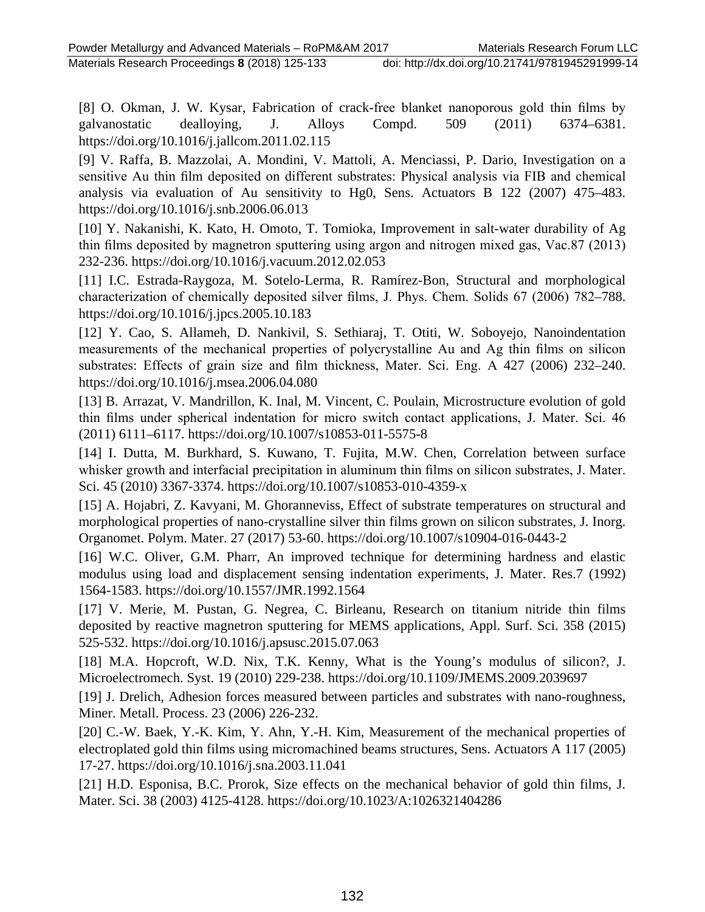[8] O. Okman, J. W. Kysar, Fabrication of crack-free blanket nanoporous gold thin films by galvanostatic dealloying, J. Alloys Compd. 509 (2011) 6374–6381. https://doi.org/10.1016/j.jallcom.2011.02.115

[9] V. Raffa, B. Mazzolai, A. Mondini, V. Mattoli, A. Menciassi, P. Dario, Investigation on a sensitive Au thin film deposited on different substrates: Physical analysis via FIB and chemical analysis via evaluation of Au sensitivity to Hg0, Sens. Actuators B 122 (2007) 475–483. https://doi.org/10.1016/j.snb.2006.06.013

[10] Y. Nakanishi, K. Kato, H. Omoto, T. Tomioka, Improvement in salt-water durability of Ag thin films deposited by magnetron sputtering using argon and nitrogen mixed gas, Vac.87 (2013) 232-236. https://doi.org/10.1016/j.vacuum.2012.02.053

[11] I.C. Estrada-Raygoza, M. Sotelo-Lerma, R. Ramírez-Bon, Structural and morphological characterization of chemically deposited silver films, J. Phys. Chem. Solids 67 (2006) 782–788. https://doi.org/10.1016/j.jpcs.2005.10.183

[12] Y. Cao, S. Allameh, D. Nankivil, S. Sethiaraj, T. Otiti, W. Soboyejo, Nanoindentation measurements of the mechanical properties of polycrystalline Au and Ag thin films on silicon substrates: Effects of grain size and film thickness, Mater. Sci. Eng. A 427 (2006) 232–240. https://doi.org/10.1016/j.msea.2006.04.080

[13] B. Arrazat, V. Mandrillon, K. Inal, M. Vincent, C. Poulain, Microstructure evolution of gold thin films under spherical indentation for micro switch contact applications, J. Mater. Sci. 46 (2011) 6111–6117. https://doi.org/10.1007/s10853-011-5575-8

[14] I. Dutta, M. Burkhard, S. Kuwano, T. Fujita, M.W. Chen, Correlation between surface whisker growth and interfacial precipitation in aluminum thin films on silicon substrates, J. Mater. Sci. 45 (2010) 3367-3374. https://doi.org/10.1007/s10853-010-4359-x

[15] A. Hojabri, Z. Kavyani, M. Ghoranneviss, Effect of substrate temperatures on structural and morphological properties of nano-crystalline silver thin films grown on silicon substrates, J. Inorg. Organomet. Polym. Mater. 27 (2017) 53-60. https://doi.org/10.1007/s10904-016-0443-2

[16] W.C. Oliver, G.M. Pharr, An improved technique for determining hardness and elastic modulus using load and displacement sensing indentation experiments, J. Mater. Res.7 (1992) 1564-1583. https://doi.org/10.1557/JMR.1992.1564

[17] V. Merie, M. Pustan, G. Negrea, C. Birleanu, Research on titanium nitride thin films deposited by reactive magnetron sputtering for MEMS applications, Appl. Surf. Sci. 358 (2015) 525-532. https://doi.org/10.1016/j.apsusc.2015.07.063

[18] M.A. Hopcroft, W.D. Nix, T.K. Kenny, What is the Young's modulus of silicon?, J. Microelectromech. Syst. 19 (2010) 229-238. https://doi.org/10.1109/JMEMS.2009.2039697

[19] J. Drelich, Adhesion forces measured between particles and substrates with nano-roughness, Miner. Metall. Process. 23 (2006) 226-232.

[20] C.-W. Baek, Y.-K. Kim, Y. Ahn, Y.-H. Kim, Measurement of the mechanical properties of electroplated gold thin films using micromachined beams structures, Sens. Actuators A 117 (2005) 17-27. https://doi.org/10.1016/j.sna.2003.11.041

[21] H.D. Esponisa, B.C. Prorok, Size effects on the mechanical behavior of gold thin films, J. Mater. Sci. 38 (2003) 4125-4128. https://doi.org/10.1023/A:1026321404286